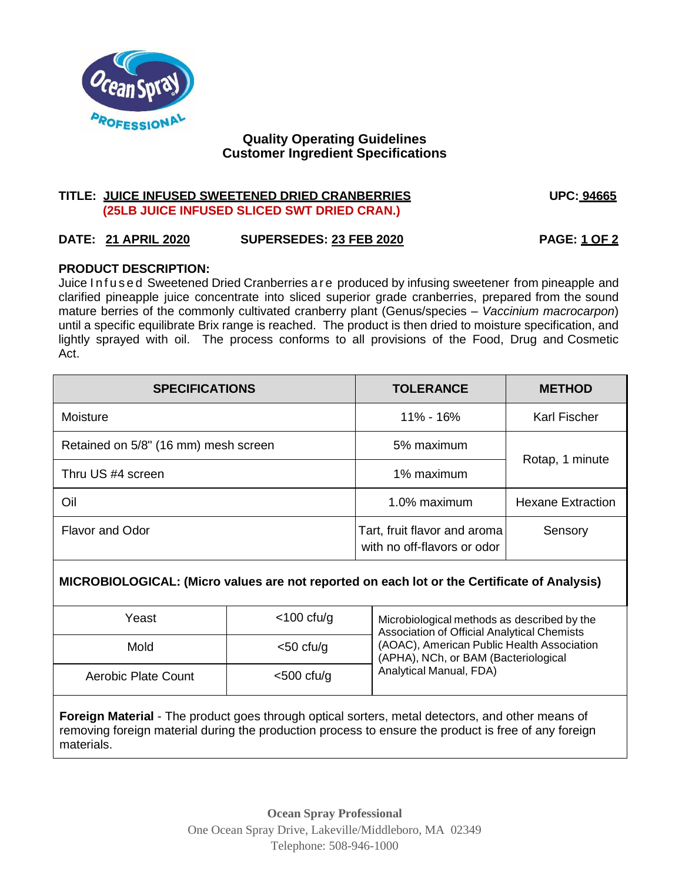

# **Quality Operating Guidelines Customer Ingredient Specifications**

## **TITLE: JUICE INFUSED SWEETENED DRIED CRANBERRIES UPC: 94665 (25LB JUICE INFUSED SLICED SWT DRIED CRAN.)**

# **DATE: 21 APRIL 2020 SUPERSEDES: 23 FEB 2020 PAGE: 1 OF 2**

### **PRODUCT DESCRIPTION:**

Juice Infused Sweetened Dried Cranberries are produced by infusing sweetener from pineapple and clarified pineapple juice concentrate into sliced superior grade cranberries, prepared from the sound mature berries of the commonly cultivated cranberry plant (Genus/species – *Vaccinium macrocarpon*) until a specific equilibrate Brix range is reached. The product is then dried to moisture specification, and lightly sprayed with oil. The process conforms to all provisions of the Food, Drug and Cosmetic Act.

| <b>SPECIFICATIONS</b>                | <b>TOLERANCE</b>                                            | <b>METHOD</b>            |
|--------------------------------------|-------------------------------------------------------------|--------------------------|
| Moisture                             | 11% - 16%                                                   | Karl Fischer             |
| Retained on 5/8" (16 mm) mesh screen | 5% maximum                                                  | Rotap, 1 minute          |
| Thru US #4 screen                    | 1% maximum                                                  |                          |
| Oil                                  | 1.0% maximum                                                | <b>Hexane Extraction</b> |
| <b>Flavor and Odor</b>               | Tart, fruit flavor and aroma<br>with no off-flavors or odor | Sensory                  |

# **MICROBIOLOGICAL: (Micro values are not reported on each lot or the Certificate of Analysis)**

| Yeast                      | $<$ 100 cfu/g | Microbiological methods as described by the<br><b>Association of Official Analytical Chemists</b><br>(AOAC), American Public Health Association<br>(APHA), NCh, or BAM (Bacteriological<br>Analytical Manual, FDA) |
|----------------------------|---------------|--------------------------------------------------------------------------------------------------------------------------------------------------------------------------------------------------------------------|
| Mold                       | $<$ 50 cfu/g  |                                                                                                                                                                                                                    |
| <b>Aerobic Plate Count</b> | $<$ 500 cfu/g |                                                                                                                                                                                                                    |

**Foreign Material** - The product goes through optical sorters, metal detectors, and other means of removing foreign material during the production process to ensure the product is free of any foreign materials.